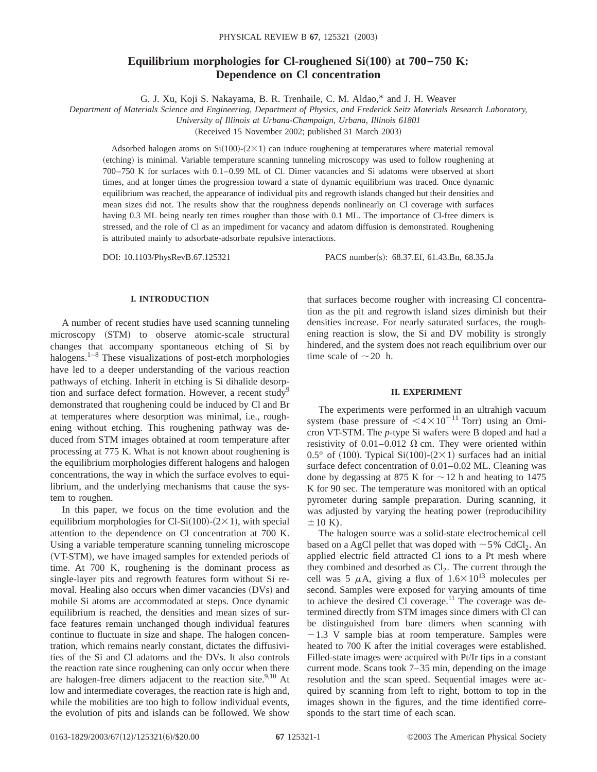# **Equilibrium morphologies for CI-roughened Si(100) at 700–750 K: Dependence on Cl concentration**

G. J. Xu, Koji S. Nakayama, B. R. Trenhaile, C. M. Aldao,\* and J. H. Weaver

*Department of Materials Science and Engineering, Department of Physics, and Frederick Seitz Materials Research Laboratory, University of Illinois at Urbana-Champaign, Urbana, Illinois 61801*

(Received 15 November 2002; published 31 March 2003)

Adsorbed halogen atoms on  $Si(100)-(2\times1)$  can induce roughening at temperatures where material removal (etching) is minimal. Variable temperature scanning tunneling microscopy was used to follow roughening at 700–750 K for surfaces with 0.1–0.99 ML of Cl. Dimer vacancies and Si adatoms were observed at short times, and at longer times the progression toward a state of dynamic equilibrium was traced. Once dynamic equilibrium was reached, the appearance of individual pits and regrowth islands changed but their densities and mean sizes did not. The results show that the roughness depends nonlinearly on Cl coverage with surfaces having 0.3 ML being nearly ten times rougher than those with 0.1 ML. The importance of Cl-free dimers is stressed, and the role of Cl as an impediment for vacancy and adatom diffusion is demonstrated. Roughening is attributed mainly to adsorbate-adsorbate repulsive interactions.

DOI: 10.1103/PhysRevB.67.125321 PACS number(s): 68.37.Ef, 61.43.Bn, 68.35.Ja

## **I. INTRODUCTION**

A number of recent studies have used scanning tunneling microscopy (STM) to observe atomic-scale structural changes that accompany spontaneous etching of Si by halogens.<sup>1-8</sup> These visualizations of post-etch morphologies have led to a deeper understanding of the various reaction pathways of etching. Inherit in etching is Si dihalide desorption and surface defect formation. However, a recent study<sup>9</sup> demonstrated that roughening could be induced by Cl and Br at temperatures where desorption was minimal, i.e., roughening without etching. This roughening pathway was deduced from STM images obtained at room temperature after processing at 775 K. What is not known about roughening is the equilibrium morphologies different halogens and halogen concentrations, the way in which the surface evolves to equilibrium, and the underlying mechanisms that cause the system to roughen.

In this paper, we focus on the time evolution and the equilibrium morphologies for Cl-Si $(100)$ - $(2 \times 1)$ , with special attention to the dependence on Cl concentration at 700 K. Using a variable temperature scanning tunneling microscope (VT-STM), we have imaged samples for extended periods of time. At 700 K, roughening is the dominant process as single-layer pits and regrowth features form without Si removal. Healing also occurs when dimer vacancies (DVs) and mobile Si atoms are accommodated at steps. Once dynamic equilibrium is reached, the densities and mean sizes of surface features remain unchanged though individual features continue to fluctuate in size and shape. The halogen concentration, which remains nearly constant, dictates the diffusivities of the Si and Cl adatoms and the DVs. It also controls the reaction rate since roughening can only occur when there are halogen-free dimers adjacent to the reaction site. $9,10$  At low and intermediate coverages, the reaction rate is high and, while the mobilities are too high to follow individual events, the evolution of pits and islands can be followed. We show

that surfaces become rougher with increasing Cl concentration as the pit and regrowth island sizes diminish but their densities increase. For nearly saturated surfaces, the roughening reaction is slow, the Si and DV mobility is strongly hindered, and the system does not reach equilibrium over our time scale of  $\sim$  20 h.

#### **II. EXPERIMENT**

The experiments were performed in an ultrahigh vacuum system (base pressure of  $\leq 4 \times 10^{-11}$  Torr) using an Omicron VT-STM. The *p*-type Si wafers were B doped and had a resistivity of 0.01–0.012  $\Omega$  cm. They were oriented within 0.5° of (100). Typical Si(100)-(2×1) surfaces had an initial surface defect concentration of 0.01–0.02 ML. Cleaning was done by degassing at 875 K for  $\sim$  12 h and heating to 1475 K for 90 sec. The temperature was monitored with an optical pyrometer during sample preparation. During scanning, it was adjusted by varying the heating power (reproducibility  $\pm$  10 K).

The halogen source was a solid-state electrochemical cell based on a AgCl pellet that was doped with  $\sim$  5% CdCl<sub>2</sub>. An applied electric field attracted Cl ions to a Pt mesh where they combined and desorbed as  $Cl<sub>2</sub>$ . The current through the cell was 5  $\mu$ A, giving a flux of  $1.6 \times 10^{13}$  molecules per second. Samples were exposed for varying amounts of time to achieve the desired Cl coverage.<sup>11</sup> The coverage was determined directly from STM images since dimers with Cl can be distinguished from bare dimers when scanning with  $-1.3$  V sample bias at room temperature. Samples were heated to 700 K after the initial coverages were established. Filled-state images were acquired with Pt/Ir tips in a constant current mode. Scans took 7–35 min, depending on the image resolution and the scan speed. Sequential images were acquired by scanning from left to right, bottom to top in the images shown in the figures, and the time identified corresponds to the start time of each scan.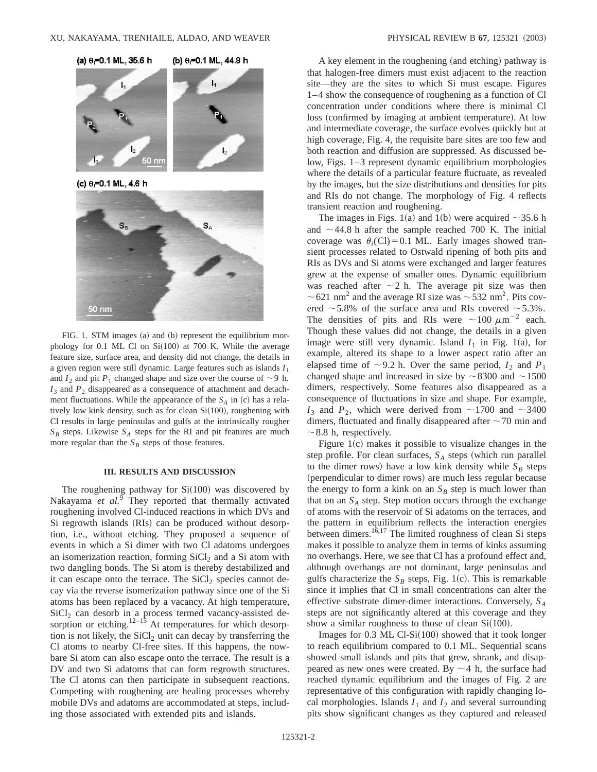

FIG. 1. STM images (a) and (b) represent the equilibrium morphology for 0.1 ML Cl on  $Si(100)$  at 700 K. While the average feature size, surface area, and density did not change, the details in a given region were still dynamic. Large features such as islands  $I_1$ and  $I_2$  and pit  $P_1$  changed shape and size over the course of  $\sim$ 9 h.  $I_3$  and  $P_2$  disappeared as a consequence of attachment and detachment fluctuations. While the appearance of the  $S_A$  in (c) has a relatively low kink density, such as for clean  $Si(100)$ , roughening with Cl results in large peninsulas and gulfs at the intrinsically rougher  $S_B$  steps. Likewise  $S_A$  steps for the RI and pit features are much more regular than the  $S_B$  steps of those features.

## **III. RESULTS AND DISCUSSION**

The roughening pathway for  $Si(100)$  was discovered by Nakayama *et al.*<sup>9</sup> They reported that thermally activated roughening involved Cl-induced reactions in which DVs and Si regrowth islands (RIs) can be produced without desorption, i.e., without etching. They proposed a sequence of events in which a Si dimer with two Cl adatoms undergoes an isomerization reaction, forming  $SiCl<sub>2</sub>$  and a Si atom with two dangling bonds. The Si atom is thereby destabilized and it can escape onto the terrace. The  $SiCl<sub>2</sub>$  species cannot decay via the reverse isomerization pathway since one of the Si atoms has been replaced by a vacancy. At high temperature,  $\text{SiCl}_2$  can desorb in a process termed vacancy-assisted desorption or etching.<sup>12–15</sup> At temperatures for which desorption is not likely, the  $SiCl<sub>2</sub>$  unit can decay by transferring the Cl atoms to nearby Cl-free sites. If this happens, the nowbare Si atom can also escape onto the terrace. The result is a DV and two Si adatoms that can form regrowth structures. The Cl atoms can then participate in subsequent reactions. Competing with roughening are healing processes whereby mobile DVs and adatoms are accommodated at steps, including those associated with extended pits and islands.

A key element in the roughening (and etching) pathway is that halogen-free dimers must exist adjacent to the reaction site—they are the sites to which Si must escape. Figures 1–4 show the consequence of roughening as a function of Cl concentration under conditions where there is minimal Cl loss (confirmed by imaging at ambient temperature). At low and intermediate coverage, the surface evolves quickly but at high coverage, Fig. 4, the requisite bare sites are too few and both reaction and diffusion are suppressed. As discussed below, Figs. 1–3 represent dynamic equilibrium morphologies where the details of a particular feature fluctuate, as revealed by the images, but the size distributions and densities for pits and RIs do not change. The morphology of Fig. 4 reflects transient reaction and roughening.

The images in Figs. 1(a) and 1(b) were acquired  $\sim$ 35.6 h and  $\sim$  44.8 h after the sample reached 700 K. The initial coverage was  $\theta_i$ (Cl)=0.1 ML. Early images showed transient processes related to Ostwald ripening of both pits and RIs as DVs and Si atoms were exchanged and larger features grew at the expense of smaller ones. Dynamic equilibrium was reached after  $\sim$  2 h. The average pit size was then  $\sim$  621 nm<sup>2</sup> and the average RI size was  $\sim$  532 nm<sup>2</sup>. Pits covered  $\sim$  5.8% of the surface area and RIs covered  $\sim$  5.3%. The densities of pits and RIs were  $\sim$ 100  $\mu$ m<sup>-2</sup> each. Though these values did not change, the details in a given image were still very dynamic. Island  $I_1$  in Fig. 1(a), for example, altered its shape to a lower aspect ratio after an elapsed time of  $\sim$ 9.2 h. Over the same period,  $I_2$  and  $P_1$ changed shape and increased in size by  $\sim 8300$  and  $\sim 1500$ dimers, respectively. Some features also disappeared as a consequence of fluctuations in size and shape. For example,  $I_3$  and  $P_2$ , which were derived from  $\sim$ 1700 and  $\sim$ 3400 dimers, fluctuated and finally disappeared after  $\sim$  70 min and  $\sim$  8.8 h, respectively.

Figure  $1(c)$  makes it possible to visualize changes in the step profile. For clean surfaces,  $S_A$  steps (which run parallel to the dimer rows) have a low kink density while  $S_B$  steps (perpendicular to dimer rows) are much less regular because the energy to form a kink on an  $S_B$  step is much lower than that on an  $S_A$  step. Step motion occurs through the exchange of atoms with the reservoir of Si adatoms on the terraces, and the pattern in equilibrium reflects the interaction energies between dimers. $16,17$  The limited roughness of clean Si steps makes it possible to analyze them in terms of kinks assuming no overhangs. Here, we see that Cl has a profound effect and, although overhangs are not dominant, large peninsulas and gulfs characterize the  $S_B$  steps, Fig. 1(c). This is remarkable since it implies that Cl in small concentrations can alter the effective substrate dimer-dimer interactions. Conversely,  $S_A$ steps are not significantly altered at this coverage and they show a similar roughness to those of clean  $Si(100)$ .

Images for  $0.3$  ML Cl-Si $(100)$  showed that it took longer to reach equilibrium compared to 0.1 ML. Sequential scans showed small islands and pits that grew, shrank, and disappeared as new ones were created. By  $\sim$  4 h, the surface had reached dynamic equilibrium and the images of Fig. 2 are representative of this configuration with rapidly changing local morphologies. Islands  $I_1$  and  $I_2$  and several surrounding pits show significant changes as they captured and released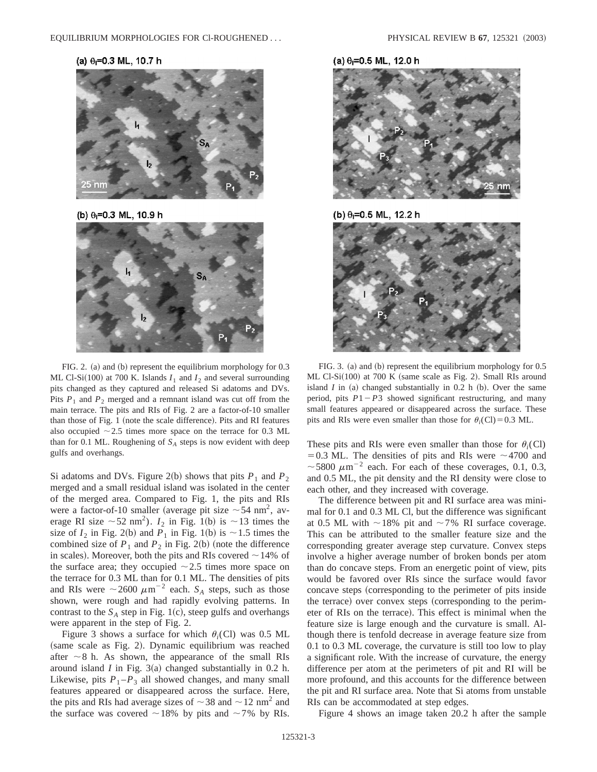(a)  $\theta_1 = 0.3$  ML, 10.7 h



(b)  $\theta_1 = 0.3$  ML, 10.9 h



FIG. 2. (a) and (b) represent the equilibrium morphology for  $0.3$ ML Cl-Si $(100)$  at 700 K. Islands  $I_1$  and  $I_2$  and several surrounding pits changed as they captured and released Si adatoms and DVs. Pits  $P_1$  and  $P_2$  merged and a remnant island was cut off from the main terrace. The pits and RIs of Fig. 2 are a factor-of-10 smaller than those of Fig. 1 (note the scale difference). Pits and RI features also occupied  $\sim$  2.5 times more space on the terrace for 0.3 ML than for 0.1 ML. Roughening of  $S_A$  steps is now evident with deep gulfs and overhangs.

Si adatoms and DVs. Figure 2(b) shows that pits  $P_1$  and  $P_2$ merged and a small residual island was isolated in the center of the merged area. Compared to Fig. 1, the pits and RIs were a factor-of-10 smaller (average pit size  $\sim$  54 nm<sup>2</sup>, average RI size  $\sim$  52 nm<sup>2</sup>). *I*<sub>2</sub> in Fig. 1(b) is  $\sim$  13 times the size of  $I_2$  in Fig. 2(b) and  $P_1$  in Fig. 1(b) is  $\sim$  1.5 times the combined size of  $P_1$  and  $P_2$  in Fig. 2(b) (note the difference in scales). Moreover, both the pits and RIs covered  $\sim$  14% of the surface area; they occupied  $\sim$  2.5 times more space on the terrace for 0.3 ML than for 0.1 ML. The densities of pits and RIs were  $\sim$  2600  $\mu$ m<sup>-2</sup> each. *S<sub>A</sub>* steps, such as those shown, were rough and had rapidly evolving patterns. In contrast to the  $S_A$  step in Fig. 1(c), steep gulfs and overhangs were apparent in the step of Fig. 2.

Figure 3 shows a surface for which  $\theta_i$ (Cl) was 0.5 ML  $(same scale as Fig. 2)$ . Dynamic equilibrium was reached after  $\sim$  8 h. As shown, the appearance of the small RIs around island *I* in Fig.  $3(a)$  changed substantially in 0.2 h. Likewise, pits  $P_1 - P_3$  all showed changes, and many small features appeared or disappeared across the surface. Here, the pits and RIs had average sizes of  $\sim$  38 and  $\sim$  12 nm<sup>2</sup> and the surface was covered  $\sim$ 18% by pits and  $\sim$ 7% by RIs.





(b)  $\theta$ <sub>1</sub>=0.5 ML, 12.2 h



FIG. 3. (a) and (b) represent the equilibrium morphology for  $0.5$ ML Cl-Si $(100)$  at 700 K (same scale as Fig. 2). Small RIs around island  $I$  in (a) changed substantially in 0.2 h (b). Over the same period, pits  $P1 - P3$  showed significant restructuring, and many small features appeared or disappeared across the surface. These pits and RIs were even smaller than those for  $\theta_i$ (Cl)=0.3 ML.

These pits and RIs were even smaller than those for  $\theta_i$ (Cl)  $=0.3$  ML. The densities of pits and RIs were  $\sim$ 4700 and ~5800  $\mu$ m<sup>-2</sup> each. For each of these coverages, 0.1, 0.3, and 0.5 ML, the pit density and the RI density were close to each other, and they increased with coverage.

The difference between pit and RI surface area was minimal for 0.1 and 0.3 ML Cl, but the difference was significant at 0.5 ML with  $\sim$  18% pit and  $\sim$  7% RI surface coverage. This can be attributed to the smaller feature size and the corresponding greater average step curvature. Convex steps involve a higher average number of broken bonds per atom than do concave steps. From an energetic point of view, pits would be favored over RIs since the surface would favor concave steps (corresponding to the perimeter of pits inside the terrace) over convex steps (corresponding to the perimeter of RIs on the terrace). This effect is minimal when the feature size is large enough and the curvature is small. Although there is tenfold decrease in average feature size from 0.1 to 0.3 ML coverage, the curvature is still too low to play a significant role. With the increase of curvature, the energy difference per atom at the perimeters of pit and RI will be more profound, and this accounts for the difference between the pit and RI surface area. Note that Si atoms from unstable RIs can be accommodated at step edges.

Figure 4 shows an image taken 20.2 h after the sample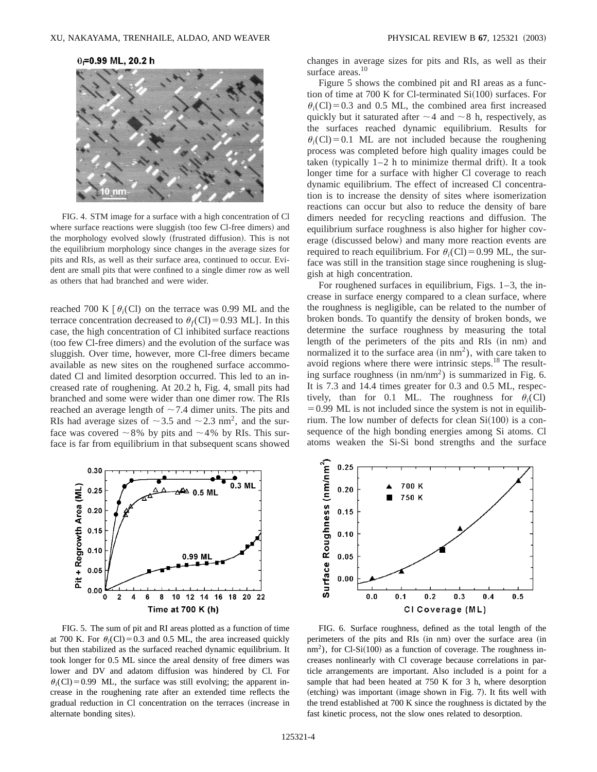# $\theta_1 = 0.99$  ML, 20.2 h



FIG. 4. STM image for a surface with a high concentration of Cl where surface reactions were sluggish (too few Cl-free dimers) and the morphology evolved slowly (frustrated diffusion). This is not the equilibrium morphology since changes in the average sizes for pits and RIs, as well as their surface area, continued to occur. Evident are small pits that were confined to a single dimer row as well as others that had branched and were wider.

reached 700 K  $\lceil \theta_i(C) \rceil$  on the terrace was 0.99 ML and the terrace concentration decreased to  $\theta_f$ (Cl)=0.93 ML]. In this case, the high concentration of Cl inhibited surface reactions (too few Cl-free dimers) and the evolution of the surface was sluggish. Over time, however, more Cl-free dimers became available as new sites on the roughened surface accommodated Cl and limited desorption occurred. This led to an increased rate of roughening. At 20.2 h, Fig. 4, small pits had branched and some were wider than one dimer row. The RIs reached an average length of  $\sim$  7.4 dimer units. The pits and RIs had average sizes of  $\sim$ 3.5 and  $\sim$ 2.3 nm<sup>2</sup>, and the surface was covered  $\sim 8\%$  by pits and  $\sim 4\%$  by RIs. This surface is far from equilibrium in that subsequent scans showed



FIG. 5. The sum of pit and RI areas plotted as a function of time at 700 K. For  $\theta_i$ (Cl)=0.3 and 0.5 ML, the area increased quickly but then stabilized as the surfaced reached dynamic equilibrium. It took longer for 0.5 ML since the areal density of free dimers was lower and DV and adatom diffusion was hindered by Cl. For  $\theta_i$ (Cl)=0.99 ML, the surface was still evolving; the apparent increase in the roughening rate after an extended time reflects the gradual reduction in Cl concentration on the terraces (increase in alternate bonding sites).

changes in average sizes for pits and RIs, as well as their surface areas.<sup>10</sup>

Figure 5 shows the combined pit and RI areas as a function of time at 700 K for Cl-terminated  $Si(100)$  surfaces. For  $\theta_i$ (Cl)=0.3 and 0.5 ML, the combined area first increased quickly but it saturated after  $\sim$  4 and  $\sim$  8 h, respectively, as the surfaces reached dynamic equilibrium. Results for  $\theta_i$ (Cl)=0.1 ML are not included because the roughening process was completed before high quality images could be taken (typically  $1-2$  h to minimize thermal drift). It a took longer time for a surface with higher Cl coverage to reach dynamic equilibrium. The effect of increased Cl concentration is to increase the density of sites where isomerization reactions can occur but also to reduce the density of bare dimers needed for recycling reactions and diffusion. The equilibrium surface roughness is also higher for higher coverage (discussed below) and many more reaction events are required to reach equilibrium. For  $\theta_i$ (Cl) = 0.99 ML, the surface was still in the transition stage since roughening is sluggish at high concentration.

For roughened surfaces in equilibrium, Figs. 1–3, the increase in surface energy compared to a clean surface, where the roughness is negligible, can be related to the number of broken bonds. To quantify the density of broken bonds, we determine the surface roughness by measuring the total length of the perimeters of the pits and RIs (in nm) and normalized it to the surface area  $(in \ nm^2)$ , with care taken to avoid regions where there were intrinsic steps.<sup>18</sup> The resulting surface roughness (in  $nm/nm^2$ ) is summarized in Fig. 6. It is 7.3 and 14.4 times greater for 0.3 and 0.5 ML, respectively, than for 0.1 ML. The roughness for  $\theta_i$ (Cl)  $=0.99$  ML is not included since the system is not in equilibrium. The low number of defects for clean  $Si(100)$  is a consequence of the high bonding energies among Si atoms. Cl atoms weaken the Si-Si bond strengths and the surface



FIG. 6. Surface roughness, defined as the total length of the perimeters of the pits and RIs (in nm) over the surface area (in  $nm<sup>2</sup>$ ), for Cl-Si(100) as a function of coverage. The roughness increases nonlinearly with Cl coverage because correlations in particle arrangements are important. Also included is a point for a sample that had been heated at 750 K for 3 h, where desorption  $(etching)$  was important  $(image shown in Fig. 7)$ . It fits well with the trend established at 700 K since the roughness is dictated by the fast kinetic process, not the slow ones related to desorption.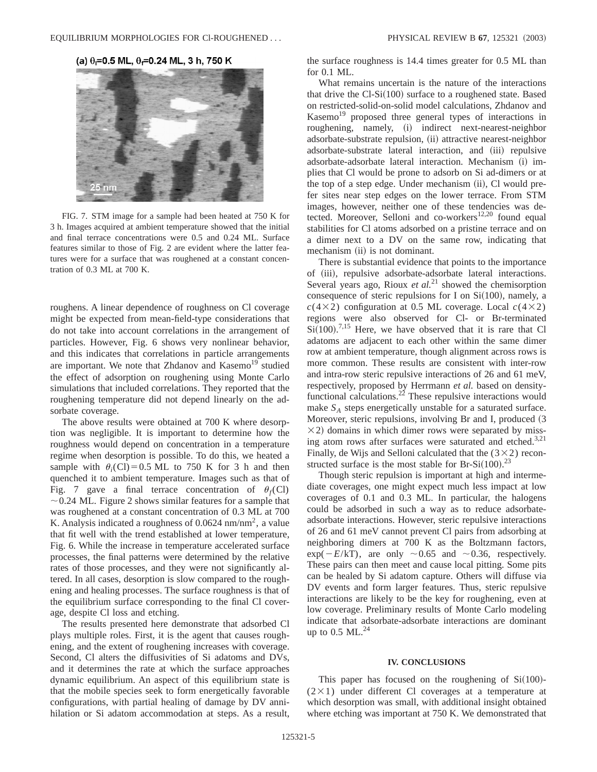# (a)  $\theta_1 = 0.5$  ML,  $\theta_1 = 0.24$  ML, 3 h, 750 K



FIG. 7. STM image for a sample had been heated at 750 K for 3 h. Images acquired at ambient temperature showed that the initial and final terrace concentrations were 0.5 and 0.24 ML. Surface features similar to those of Fig. 2 are evident where the latter features were for a surface that was roughened at a constant concentration of 0.3 ML at 700 K.

roughens. A linear dependence of roughness on Cl coverage might be expected from mean-field-type considerations that do not take into account correlations in the arrangement of particles. However, Fig. 6 shows very nonlinear behavior, and this indicates that correlations in particle arrangements are important. We note that Zhdanov and Kasemo<sup>19</sup> studied the effect of adsorption on roughening using Monte Carlo simulations that included correlations. They reported that the roughening temperature did not depend linearly on the adsorbate coverage.

The above results were obtained at 700 K where desorption was negligible. It is important to determine how the roughness would depend on concentration in a temperature regime when desorption is possible. To do this, we heated a sample with  $\theta_i$ (Cl)=0.5 ML to 750 K for 3 h and then quenched it to ambient temperature. Images such as that of Fig. 7 gave a final terrace concentration of  $\theta_f$ (Cl)  $\sim$  0.24 ML. Figure 2 shows similar features for a sample that was roughened at a constant concentration of 0.3 ML at 700 K. Analysis indicated a roughness of  $0.0624$  nm/nm<sup>2</sup>, a value that fit well with the trend established at lower temperature, Fig. 6. While the increase in temperature accelerated surface processes, the final patterns were determined by the relative rates of those processes, and they were not significantly altered. In all cases, desorption is slow compared to the roughening and healing processes. The surface roughness is that of the equilibrium surface corresponding to the final Cl coverage, despite Cl loss and etching.

The results presented here demonstrate that adsorbed Cl plays multiple roles. First, it is the agent that causes roughening, and the extent of roughening increases with coverage. Second, Cl alters the diffusivities of Si adatoms and DVs, and it determines the rate at which the surface approaches dynamic equilibrium. An aspect of this equilibrium state is that the mobile species seek to form energetically favorable configurations, with partial healing of damage by DV annihilation or Si adatom accommodation at steps. As a result,

the surface roughness is 14.4 times greater for 0.5 ML than for 0.1 ML.

What remains uncertain is the nature of the interactions that drive the  $CI-Si(100)$  surface to a roughened state. Based on restricted-solid-on-solid model calculations, Zhdanov and Kasemo<sup>19</sup> proposed three general types of interactions in roughening, namely, (i) indirect next-nearest-neighbor adsorbate-substrate repulsion, (ii) attractive nearest-neighbor adsorbate-substrate lateral interaction, and (iii) repulsive adsorbate-adsorbate lateral interaction. Mechanism (i) implies that Cl would be prone to adsorb on Si ad-dimers or at the top of a step edge. Under mechanism  $(ii)$ , Cl would prefer sites near step edges on the lower terrace. From STM images, however, neither one of these tendencies was detected. Moreover, Selloni and co-workers<sup>12,20</sup> found equal stabilities for Cl atoms adsorbed on a pristine terrace and on a dimer next to a DV on the same row, indicating that mechanism (ii) is not dominant.

There is substantial evidence that points to the importance of (iii), repulsive adsorbate-adsorbate lateral interactions. Several years ago, Rioux *et al.*<sup>21</sup> showed the chemisorption consequence of steric repulsions for I on  $Si(100)$ , namely, a  $c(4\times2)$  configuration at 0.5 ML coverage. Local  $c(4\times2)$ regions were also observed for Cl- or Br-terminated  $Si(100)$ .<sup>7,15</sup> Here, we have observed that it is rare that Cl adatoms are adjacent to each other within the same dimer row at ambient temperature, though alignment across rows is more common. These results are consistent with inter-row and intra-row steric repulsive interactions of 26 and 61 meV, respectively, proposed by Herrmann *et al.* based on densityfunctional calculations.<sup>22</sup> These repulsive interactions would make  $S_A$  steps energetically unstable for a saturated surface. Moreover, steric repulsions, involving Br and I, produced (3)  $\times$ 2) domains in which dimer rows were separated by missing atom rows after surfaces were saturated and etched. $3,21$ Finally, de Wijs and Selloni calculated that the  $(3\times2)$  reconstructed surface is the most stable for Br-Si $(100)$ .<sup>23</sup>

Though steric repulsion is important at high and intermediate coverages, one might expect much less impact at low coverages of 0.1 and 0.3 ML. In particular, the halogens could be adsorbed in such a way as to reduce adsorbateadsorbate interactions. However, steric repulsive interactions of 26 and 61 meV cannot prevent Cl pairs from adsorbing at neighboring dimers at 700 K as the Boltzmann factors,  $\exp(-E/kT)$ , are only  $\sim 0.65$  and  $\sim 0.36$ , respectively. These pairs can then meet and cause local pitting. Some pits can be healed by Si adatom capture. Others will diffuse via DV events and form larger features. Thus, steric repulsive interactions are likely to be the key for roughening, even at low coverage. Preliminary results of Monte Carlo modeling indicate that adsorbate-adsorbate interactions are dominant up to  $0.5$  ML.<sup>24</sup>

#### **IV. CONCLUSIONS**

This paper has focused on the roughening of  $Si(100)$ - $(2\times1)$  under different Cl coverages at a temperature at which desorption was small, with additional insight obtained where etching was important at 750 K. We demonstrated that